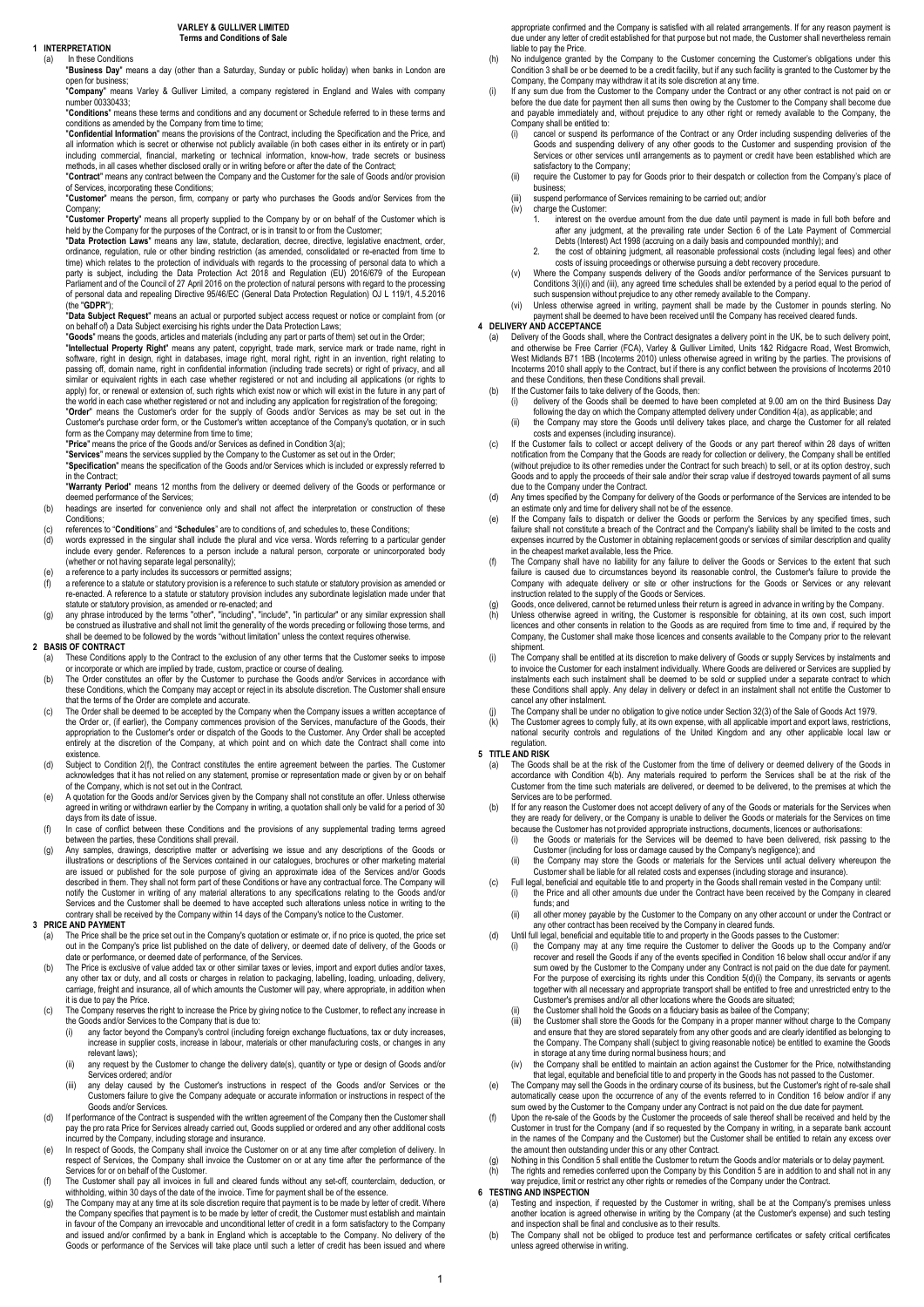#### 1 **INTERPRETATION**<br>(a) In these Con (a) In these Conditions

"Business Day" means a day (other than a Saturday, Sunday or public holiday) when banks in London are

open for business;<br>"**Company**" means Varley & Gulliver Limited, a company registered in England and Wales with company number 00330433;

"Conditions" means these terms and conditions and any document or Schedule referred to in these terms and conditions" conditions as amended by the Company from time to time;

"**Confidential Information**" means the provisions of the Contract, including the Specification and the Price, and<br>all information which is secret or otherwise not publicly available (in both cases either in its entirety or including commercial, financial, marketing or technical information, know-how, trade secrets or business methods, in all cases whether disclosed orally or in writing before or after the date of the Contract; "Contract" means any contract between the Company and the Customer for the sale of Goods and/or provision of Services, incorporating these Conditions;

"Customer" means the person, firm, company or party who purchases the Goods and/or Services from the Company;

"**Customer Property**" means all property supplied to the Company by or on behalf of the Customer which is<br>held by the Company for the purposes of the Contract, or is in transit to or from the Customer;

"Data Protection Laws" means any law, statute, declaration, decree, directive, legislative enactment, order ordinance, regulation, rule or other binding restriction (as amended, consolidated or re-enacted from time to time) which relates to the protection of individuals with regards to the processing of personal data to which a party is subject, including the Data Protection Act 2018 and Regulation (EU) 2016/679 of the European Parliament and of the Council of 27 April 2016 on the protection of natural persons with regard to the processing of personal data and repealing Directive 95/46/EC (General Data Protection Regulation) OJ L 119/1, 4.5.2016 (the "GDPR");

"Data Subject Request" means an actual or purported subject access request or notice or complaint from (or on behalf of) a Data Subject exercising his rights under the Data Protection Laws;

"**Goods**" means the goods, articles and materials (including any part or parts of them) set out in the Order;<br>"I**ntellectual Property Right**" means any patent, copyright, trade mark, service mark or trade name, right in software, right in design, right in databases, image right, moral right, right in an invention, right relating to<br>passing off, domain name, right in confidential information (including trade secrets) or right of privacy, a

apply) for, or renewal or extension of, such rights which exist now or which will exist in the future in any part of<br>the world in each case whether registered or not and including any application for registration of the fo form as the Company may determine from time to time:

"Price" means the price of the Goods and/or Services as defined in Condition 3(a);

"**Services**" means the services supplied by the Company to the Customer as set out in the Order;<br>"**Specification**" means the specification of the Goods and/or Services which is included or expressly referred to in the Contract; "Warranty Period" means 12 months from the delivery or deemed delivery of the Goods or performance or

deemed performance of the Services;

- (b) headings are inserted for convenience only and shall not affect the interpretation or construction of these Conditions;
- (c) references to "**Conditions**" and "**Schedules**" are to conditions of, and schedules to, these Conditions<br>(d) words expressed in the singular shall include the plural and vice versa. Words referring to a partic
- (d) words expressed in the singular shall include the plural and vice versa. Words referring to a particular gender include every gender. References to a person include a natural person, corporate or unincorporated body (whether or not having separate legal personality);
- 
- (e) a reference to a party includes its successors or permitted assigns;<br>(f) a reference to a statute or statutory provision is a reference to such statute or statutory provision as amended or<br>re-enacted. A reference statute or statutory provision, as amended or re-enacted; and (g) any phrase introduced by the terms "other", "including", "include", "in particular" or any similar expression shall
- be construed as illustrative and shall not limit the generality of the words preceding or following those terms, and<br>shall be deemed to be followed by the words "without limitation" unless the context requires otherwise.<br>2

- These Conditions apply to the Contract to the exclusion of any other terms that the Customer seeks to impose
- or incorporate or which are implied by trade, custom, practice or course of dealing. (b) The Order constitutes an offer by the Customer to purchase the Goods and/or Services in accordance with these Conditions, which the Company may accept or reject in its absolute discretion. The Customer shall ensure
- that the terms of the Order are complete and accurate. (c) The Order shall be deemed to be accepted by the Company when the Company issues a written acceptance of the Order or, (if earlier), the Company commences provision of the Services, manufacture of the Goods, their<br>appropriation to the Customer's order or dispatch of the Goods to the Customer. Any Order shall be accepted entirely at the discretion of the Company, at which point and on which date the Contract shall come into existence.
- (d) Subject to Condition 2(f), the Contract constitutes the entire agreement between the parties. The Customer acknowledges that it has not relied on any statement, promise or representation made or given by or on behalf of the Company, which is not set out in the Contract.
- (e) A quotation for the Goods and/or Services given by the Company shall not constitute an offer. Unless otherwise agreed in writing or withdrawn earlier by the Company in writing, a quotation shall only be valid for a period of 30<br>days from its date of issue. days from its da
- (f) In case of conflict between these Conditions and the provisions of any supplemental trading terms agreed
- between the parties, these Conditions shall prevail. (g) Any samples, drawings, descriptive matter or advertising we issue and any descriptions of the Goods or illustrations or descriptions of the Services contained in our catalogues, brochures or other marketing material are issued or published for the sole purpose of giving an approximate idea of the Services and/or Goods described in them. They shall not form part of these Conditions or have any contractual force. The Company will<br>notify the Customer in writing of any material alterations to any specifications relating to the Goods and/or<br> contrary shall be received by the Company within 14 days of the Company's notice to the Customer.

### 3 PRICE AND PAYMENT

- The Price shall be the price set out in the Company's quotation or estimate or, if no price is quoted, the price set out in the Company's price list published on the date of delivery, or deemed date of delivery, of the Goods or
- date or performance, or deemed date of performance, of the Services. (b) The Price is exclusive of value added tax or other similar taxes or levies, import and export duties and/or taxes, any other tax or duty, and all costs or charges in relation to packaging, labelling, loading, unloading, delivery,<br>carriage, freight and insurance, all of which amounts the Customer will pay, where appropriate, in addition it is due to pay the Price.
- (c) The Company reserves the right to increase the Price by giving notice to the Customer, to reflect any increase in the Goods and/or Services to the Company that is due to<br>(i) any factor beyond the Company's control (including
	- any factor beyond the Company's control (including foreign exchange fluctuations, tax or duty increases, increase in supplier costs, increase in labour, materials or other manufacturing costs, or changes in any relevant laws)
	- (ii) any request by the Customer to change the delivery date(s), quantity or type or design of Goods and/or Services ordered; and/or (iii) any delay caused by the Customer's instructions in respect of the Goods and/or Services or the
	- Customers failure to give the Company adequate or accurate information or instructions in respect of the Goods and/or Services.
- If performance of the Contract is suspended with the written agreement of the Company then the Customer shall<br>pay the pro rata Price for Services already carried out, Goods supplied or ordered and any other additional cost incurred by the Company, including storage and insurance.
- (e) In respect of Goods, the Company shall invoice the Customer on or at any time after completion of delivery respect of Services, the Company shall invoice the Customer on or at any time after the performance of the<br>Services for or on behalf of the Customer.<br>The Customer shall pay all invoices in full and cleared funds without an
- withholding, within 30 days of the date of the invoice. Time for payment shall be of the essence. (g) The Company may at any time at its sole discretion require that payment is to be made by letter of credit. Where
- the Company specifies that payment is to be made by letter of credit, the Customer must establish and maintain in favour of the Company an irrevocable and unconditional letter of credit in a form satisfactory to the Company and issued and/or confirmed by a bank in England which is acceptable to the Company. No delivery of the Goods or performance of the Services will take place until such a letter of credit has been issued and where

appropriate confirmed and the Company is satisfied with all related arrangements. If for any reason payment is due under any letter of credit established for that purpose but not made, the Customer shall nevertheless remain liable to pay the Price.

- (h) No indulgence granted by the Company to the Customer concerning the Customer's obligations under this Condition 3 shall be or be deemed to be a credit facility, but if any such facility is granted to the Customer by the
- Company, the Company may withdraw it at its sole discretion at any time. (i) If any sum due from the Customer to the Company under the Contract or any other contract is not paid on or before the due date for payment then all sums then owing by the Customer to the Company shall become due and payable immediately and, without prejudice to any other right or remedy available to the Company, the
	- Company shall be entitled to:<br>(i) cancel or suspend its (i) cancel or suspend its performance of the Contract or any Order including suspending deliveries of the Goods and suspending delivery of any other goods to the Customer and suspending provision of the Services or other services until arrangements as to payment or credit have been established which are satisfactory to the Company;
	- (ii) require the Customer to pay for Goods prior to their despatch or collection from the Company's place of business;
	- (iii) suspend performance of Services remaining to be carried out; and/or
		- charge the Customer 1. interest on the overdue amount from the due date until payment is made in full both before and after any judgment, at the prevailing rate under Section 6 of the Late Payment of Commercial
			- Debts (Interest) Act 1998 (accruing on a daily basis and compounded monthly); and
		- 2. the cost of obtaining judgment, all reasonable professional costs (including legal fees) and other costs of issuing proceedings or otherwise pursuing a debt recovery procedure.
	- (v) Where the Company suspends delivery of the Goods and/or performance of the Services pursuant to Conditions 3(i)(i) and (iii), any agreed time schedules shall be extended by a period equal to the period of such suspension without prejudice to any other remedy available to the Company. (vi) Unless otherwise agreed in writing, payment shall be made by the Customer in pounds sterling. No
	- payment shall be deemed to have been received until the Company has received cleared funds.

### 4 DELIVERY AND ACCEPTANCE

(a) Delivery of the Goods shall, where the Contract designates a delivery point in the UK, be to such delivery point, and otherwise be Free Carrier (FCA), Varley & Gulliver Limited, Units 1&2 Ridgacre Road, West Bromwich,

- (b) If the Customer fails to take delivery of the Goods, then: (i) delivery of the Goods shall be deemed to have been completed at 9.00 am on the third Business Day
	- following the day on which the Company attempted delivery under Condition 4(a), as applicable; and (ii) the Company may store the Goods until delivery takes place, and charge the Customer for all related
- costs and expenses (including insurance). (c) If the Customer fails to collect or accept delivery of the Goods or any part thereof within 28 days of written notification from the Company that the Goods are ready for collection or delivery, the Company shall be entitled<br>(without prejudice to its other remedies under the Contract for such breach) to sell, or at its option destro Goods and to apply the proceeds of their sale and/or their scrap value if destroyed towards payment of all sums
- due to the Company under the Contract. (d) Any times specified by the Company for delivery of the Goods or performance of the Services are intended to be
- an estimate only and time for delivery shall not be of the essence. (e) If the Company fails to dispatch or deliver the Goods or perform the Services by any specified times, such failure shall not constitute a breach of the Contract and the Company's liability shall be limited to the costs and<br>expenses incurred by the Customer in obtaining replacement goods or services of similar description and qu in the cheapest market available, less the Price.
- (f) The Company shall have no liability for any failure to deliver the Goods or Services to the extent that such failure is caused due to circumstances beyond its reasonable control, the Customer's failure to provide the Company with adequate delivery or site or other instructions for the Goods or Services or any relevant instruction related to the supply of the Goods or Services.
- (g) Goods, once delivered, cannot be returned unless their return is agreed in advance in writing by the Company.<br>(h) Unless otherwise agreed in writing, the Customer is responsible for obtaining, at its own cost, such imp
- licences and other consents in relation to the Goods as are required from time to time and, if required by the Company, the Customer shall make those licences and consents available to the Company prior to the relevant
- shipment. (i) The Company shall be entitled at its discretion to make delivery of Goods or supply Services by instalments and to invoice the Customer for each instalment individually. Where Goods are delivered or Services are supplied by instalments each such instalment shall be deemed to be sold or supplied under a separate contract to which these Conditions shall apply. Any delay in delivery or defect in an instalment shall not entitle the Customer to cancel any other instalment
- (j) The Company shall be under no obligation to give notice under Section 32(3) of the Sale of Goods Act 1979.<br>(k) The Customer agrees to comply fully at its own expense, with all applicable import and export laws, restri
- (k) The Customer agrees to comply fully, at its own expense, with all applicable import and export laws, restrictions, national security controls and regulations of the United Kingdom and any other applicable local law or regulation

### 5 TITLE AND RISK

- (a) The Goods shall be at the risk of the Customer from the time of delivery or deemed delivery of the Goods in accordance with Condition 4(b). Any materials required to perform the Services shall be at the risk of the Customer from the time such materials are delivered, or deemed to be delivered, to the premises at which the Services are to be performed.
- (b) If for any reason the Customer does not accept delivery of any of the Goods or materials for the Services when<br>they are ready for delivery, or the Company is unable to deliver the Goods or materials for the Services on
- (i) the Goods or materials for the Services will be deemed to have been delivered, risk passing to the Customer (including for loss or damage caused by the Company's negligence); and
- (ii) the Company may store the Goods or materials for the Services until actual delivery whereupon the Customer shall be liable for all related costs and expenses (including storage and insurance).
- (c) Full legal, beneficial and equitable title to and property in the Goods shall remain vested in the Company until:<br>(i) the Price and all other amounts due under the Contract have been received by the Company in cleared
- funds; and (ii) all other money payable by the Customer to the Company on any other account or under the Contract or
- 
- any other contract has been received by the Company in cleared funds.<br>(d) Until full legal, beneficial and equitable title to and property in the Goods passes to the Customer:<br>(i) the Company may at any time require the recover and resell the Goods if any of the events specified in Condition 16 below shall occur and/or if any sum owed by the Customer to the Company under any Contract is not paid on the due date for payment. For the purpose of exercising its rights under this Condition 5(d)(i) the Company, its servants or agents together with all necessary and appropriate transport shall be entitled to free and unrestricted entry to the Customer's premises and/or all other locations where the Goods are situated;
	- the Customer shall hold the Goods on a fiduciary basis as bailee of the Company;
	- the Customer shall store the Goods for the Company in a proper manner without charge to the Company and ensure that they are stored separately from any other goods and are clearly identified as belonging to and ensure that they are stored separately from any other goods and are clearly identified as belonging to the Company. The Company shall (subject to giving reasonable notice) be entitled to examine the Goods<br>in storage at any time during normal business hours; and<br>(iv) the Company shall be entitled to maintain an action agains
- that legal, equitable and beneficial title to and property in the Goods has not passed to the Customer. (e) The Company may sell the Goods in the ordinary course of its business, but the Customer's right of re-sale shall
- automatically cease upon the occurrence of any of the events referred to in Condition 16 below and/or if any sum owed by the Customer to the Company under any Contract is not paid on the due date for payment.
- (f) Upon the re-sale of the Goods by the Customer the proceeds of sale thereof shall be received and held by the<br>Customer in trust for the Company (and if so requested by the Company in writing, in a separate bank account<br> the amount then outstanding under this or any other Contract.
- Nothing in this Condition 5 shall entitle the Customer to return the Goods and/or materials or to delay payment.
- (h) The rights and remedies conferred upon the Company by this Condition 5 are in addition to and shall not in any way prejudice, limit or restrict any other rights or remedies of the Company under the Contract.

#### **6 TESTING AND INSPECTION**

- Testing and inspection, if requested by the Customer in writing, shall be at the Company's premises unless another location is agreed otherwise in writing by the Company (at the Customer's expense) and such testing<br>and inspection shall be final and conclusive as to their results.<br>The Company shall not be obliged to produce test
- unless agreed otherwise in writing.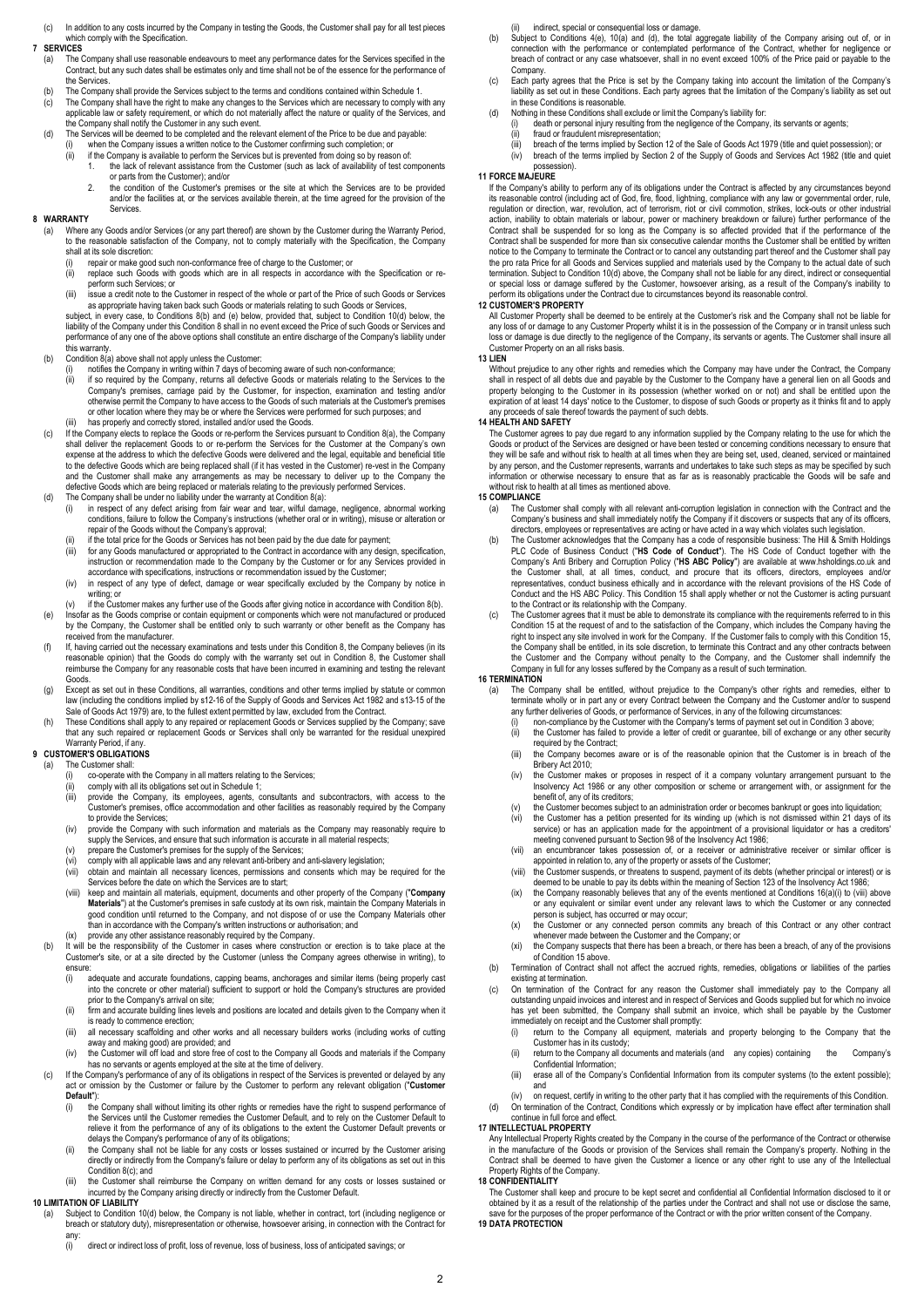(c) In addition to any costs incurred by the Company in testing the Goods, the Customer shall pay for all test pieces which comply with the Specification

# 7 **SERVICES**<br>(a) The 0

- (a) The Company shall use reasonable endeavours to meet any performance dates for the Services specified in the<br>Contract, but any such dates shall be estimates only and time shall not be of the essence for the performance the Services.
- (b) The Company shall provide the Services subject to the terms and conditions contained within Schedule 1.<br>(c) The Company shall have the right to make any changes to the Services which are necessary to comply w
- (c) The Company shall have the right to make any changes to the Services which are necessary to comply with any<br>applicable law or safety requirement, or which do not materially affect the nature or quality of the Services,
- the Company shall notify the Customer in any such event.<br>(d) The Services will be deemed to be completed and the relevant element of the Price to be due and payable:<br>(i) when the Company issues a written notice to the Cust
	- (ii) if the Company is available to perform the Services but is prevented from doing so by reason of:
		- 1. the lack of relevant assistance from the Customer (such as lack of availability of test components or parts from the Customer); and/or
		- 2. the condition of the Customer's premises or the site at which the Services are to be provided. and/or the facilities at, or the services available therein, at the time agreed for the provision of the Services.

#### 8 WARRANTY

Where any Goods and/or Services (or any part thereof) are shown by the Customer during the Warranty Period, to the reasonable satisfaction of the Company, not to comply materially with the Specification, the Company shall at its sole discretion:

- (i) repair or make good such non-conformance free of charge to the Customer; or<br>(ii) replace such Goods with goods which are in all respects in accordance wi
- replace such Goods with goods which are in all respects in accordance with the Specification or reperform such Services; or
- (iii) issue a credit note to the Customer in respect of the whole or part of the Price of such Goods or Services as appropriate having taken back such Goods or materials relating to such Goods or Services

subject, in every case, to Conditions 8(b) and (e) below, provided that, subject to Condition 10(d) below, the liability of the Company under this Condition 8 shall in no event exceed the Price of such Goods or Services and performance of any one of the above options shall constitute an entire discharge of the Company's liability under

- this warranty. (b) Condition 8(a) above shall not apply unless the Customer:
	- (i) notifies the Company in writing within 7 days of becoming aware of such non-conformance; (ii) if so required by the Company, returns all defective Goods or materials relating to the Services to the Company's premises, carriage paid by the Customer, for inspection, examination and testing and/or otherwise permit the Company to have access to the Goods of such materials at the Customer's premises or other location where they may be or where the Services were performed for such purposes; and (iii) has properly and correctly stored, installed and/or used the Goods.
- (c) If the Company elects to replace the Goods or re-perform the Services pursuant to Condition 8(a), the Company shall deliver the replacement Goods to or re-perform the Services for the Customer at the Company's shall deliver the replacement Goods to or re-perform the Services for the Customer at the Company's expense at the address to which the defective Goods were delivered and the legal, equitable and beneficial title<br>to the defective Goods which are being replaced shall (if it has vested in the Customer) re-vest in the Compa and the Customer shall make any arrangements as may be necessary to deliver up to the Company the defective Goods which are being replaced or materials relating to the previously performed Services. (d) The Company shall be under no liability under the warranty at Condition 8(a):
- - (i) in respect of any defect arising from fair wear and tear, wilful damage, negligence, abnormal working conditions, failure to follow the Company's instructions (whether oral or in writing), misuse or alteration or repair of the Goods without the Company's approval; (ii) if the total price for the Goods or Services has not been paid by the due date for payment;
	- $\lim_{n \to \infty}$  for any Goods manufactured or appropriated to the Contract in accordance with any design, specification instruction or recommendation made to the Company by the Customer or for any Services provided in accordance with specifications, instructions or recommendation issued by the Customer;
	- (iv) in respect of any type of defect, damage or wear specifically excluded by the Company by notice in writing; or
- (v) if the Customer makes any further use of the Goods after giving notice in accordance with Condition 8(b). (e) Insofar as the Goods comprise or contain equipment or components which were not manufactured or produced
- by the Company, the Customer shall be entitled only to such warranty or other benefit as the Company has received from the manufacturer.
- (f) If, having carried out the necessary examinations and tests under this Condition 8, the Company believes (in its reasonable opinion) that the Goods do comply with the warranty set out in Condition 8, the Customer shall reimburse the Company for any reasonable costs that have been incurred in examining and testing the relevant Goods.
- (g) Except as set out in these Conditions, all warranties, conditions and other terms implied by statute or common law (including the conditions implied by s12-16 of the Supply of Goods and Services Act 1982 and s13-15 of the<br>Sale of Goods Act 1979) are, to the fullest extent permitted by law, excluded from the Contract.
- (h) These Conditions shall apply to any repaired or replacement Goods or Services supplied by the Company; save that any such repaired or replacement Goods or Services shall only be warranted for the residual unexpired Warranty Period, if any

# 9 CUSTOMER'S OBLIGATIONS

- (a) The Customer shall:<br>(i) co-operate wi (i) co-operate with the Company in all matters relating to the Services;<br>(ii) comply with all its obligations set out in Schedule 1:
	- $\begin{pmatrix} \n\text{ii} \\
	\text{iii} \\
	\text{iv} \\
	\text{iv} \\
	\text{iv} \\
	\text{iv} \\
	\text{iv} \\
	\text{iv} \\
	\text{iv} \\
	\text{iv} \\
	\text{iv} \\
	\text{iv} \\
	\text{iv} \\
	\text{iv} \\
	\text{iv} \\
	\text{iv} \\
	\text{iv} \\
	\text{iv} \\
	\text{iv} \\
	\text{iv} \\
	\text{iv} \\
	\text{iv} \\
	\text{v} \\
	\text{v} \\
	\text{v} \\
	\text{v} \\
	\text{v} \\
	\text{v} \\
	\text{v} \\
	\text{v} \\
	\text{v} \\
	\text{v} \\
	\text{v} \\
	\text{v} \\
	\text{v} \\
	\text$ 
		- emply that all the company, its employees, agents, consultants and subcontractors, with access to the Customer's premises, office accommodation and other facilities as reasonably required by the Company
	- to provide the Services; (iv) provide the Company with such information and materials as the Company may reasonably require to supply the Services, and ensure that such information is accurate in all material respects; (v) prepare the Customer's premises for the supply of the Services;
	-
	- (vi) comply with all applicable laws and any relevant anti-bribery and anti-slavery legislation;
	- (vii) obtain and maintain all necessary licences, permissions and consents which may be required for the Services before the date on which the Services are to start;
	- (viii) keep and maintain all materials, equipment, documents and other property of the Company ("Company Materials") at the Customer's premises in safe custody at its own risk, maintain the Company Materials in good condition until returned to the Company, and not dispose of or use the Company Materials other than in accordance with the Company's written instructions or authorisation; and
	-
- (ix) provide any other assistance reasonably required by the Company. (b) It will be the responsibility of the Customer in cases where construction or erection is to take place at the Customer's site, or at a site directed by the Customer (unless the Company agrees otherwise in writing), to ensure:<br>(i)
	- (i) adequate and accurate foundations, capping beams, anchorages and similar items (being properly cast into the concrete or other material) sufficient to support or hold the Company's structures are provided prior to the Company's arrival on site;
	- (ii) firm and accurate building lines levels and positions are located and details given to the Company when it is ready to commence erection;
	- (iii) all necessary scaffolding and other works and all necessary builders works (including works of cutting away and making good) are provided; and
	- (iv) the Customer will off load and store free of cost to the Company all Goods and materials if the Company has no servants or agents employed at the site at the time of delivery.
- (c) If the Company's performance of any of its obligations in respect of the Services is prevented or delayed by any<br>act or omission by the Customer or failure by the Customer to perform any relevant obligation ("Customer Default")
	- (i) the Company shall without limiting its other rights or remedies have the right to suspend performance of the Services until the Customer remedies the Customer Default, and to rely on the Customer Default to relieve it from the performance of any of its obligations to the extent the Customer Default prevents or delays the Company's performance of any of its obligations;
	- (ii) the Company shall not be liable for any costs or losses sustained or incurred by the Customer arising directly or indirectly from the Company's failure or delay to perform any of its obligations as set out in this Condition 8(c); and
	- (iii) the Customer shall reimburse the Company on written demand for any costs or losses sustained or incurred by the Company arising directly or indirectly from the Customer Default.
- 10 LIMITATION OF LIABILITY<br>(a) Subject to Condition
- (a) Subject to Condition 10(d) below, the Company is not liable, whether in contract, tort (including negligence or<br>breach or statutory duty), misrepresentation or otherwise, howsoever arising, in connection with the Contr
	- any<br>(i) direct or indirect loss of profit, loss of revenue, loss of business, loss of anticipated savings; or

(ii) indirect, special or consequential loss or damage.

- (b) Subject to Conditions 4(e), 10(a) and (d), the total aggregate liability of the Company arising out of, or in connection with the performance or contemplated performance of the Contract, whether for negligence or breach of contract or any case whatsoever, shall in no event exceed 100% of the Price paid or payable to the Company.
- c) Each party agrees that the Price is set by the Company taking into account the limitation of the Company's<br>liability as set out in these Conditions. Each party agrees that the limitation of the Company's liability as se in these Conditions is reasonable.
	- (d) Nothing in these Conditions shall exclude or limit the Company's liability for:
	- (i) death or personal injury resulting from the negligence of the Company, its servants or agents;<br>(ii) fraud or fraudulent misrepresentation;<br>(iii) breach of the terms implied by Section 12 of the Sale of Goods Act
	-
	- (iv) breach of the terms implied by Section 2 of the Supply of Goods and Services Act 1982 (title and quiet

#### possession). 11 FORCE MAJEURE

If the Company's ability to perform any of its obligations under the Contract is affected by any circumstances beyond its reasonable control (including act of God, fire, flood, lightning, compliance with any law or governmental order, rule,<br>regulation or direction, war, revolution, act of terrorism, riot or civil commotion, strikes, lockaction, inability to obtain materials or labour, power or machinery breakdown or failure) further performance of the<br>Contract shall be suspended for so long as the Company is so affected provided that if the performance of Contract shall be suspended for more than six consecutive calendar months the Customer shall be entitled by written notice to the Company to terminate the Contract or to cancel any outstanding part thereof and the Customer shall pay<br>the pro rata Price for all Goods and Services supplied and materials used by the Company to the actual da termination. Subject to Condition 10(d) above, the Company shall not be liable for any direct, indirect or consequential<br>or special loss or damage suffered by the Customer, howsoever arising, as a result of the Company's i perform its obligations under the Contract due to circumstances beyond its reasonable control.

#### 12 CUSTOMER'S PROPERTY

All Customer Property shall be deemed to be entirely at the Customer's risk and the Company shall not be liable for<br>any loss of or damage to any Customer Property whilst it is in the possession of the Company or in transit loss or damage is due directly to the negligence of the Company, its servants or agents. The Customer shall insure all Customer Property on an all risks basis.

#### 13 LIEN

Without prejudice to any other rights and remedies which the Company may have under the Contract, the Company shall in respect of all debts due and payable by the Customer to the Company have a general lien on all Goods and property belonging to the Customer in its possession (whether worked on or not) and shall be entitled upon the<br>expiration of at least 14 days' notice to the Customer, to dispose of such Goods or property as it thinks fit a any proceeds of sale thereof towards the payment of such debts.

## 14 HEALTH AND SAFETY

The Customer agrees to pay due regard to any information supplied by the Company relating to the use for which the Goods or product of the Services are designed or have been tested or concerning conditions necessary to ensure that they will be safe and without risk to health at all times when they are being set, used, cleaned, serviced or maintained<br>by any person, and the Customer represents, warrants and undertakes to take such steps as may be spec information or otherwise necessary to ensure that as far as is reasonably practicable the Goods will be safe and without risk to health at all times as mentioned above.

# 15 COMPLIANCE<br>(a) The Cus

- (a) The Customer shall comply with all relevant anti-corruption legislation in connection with the Contract and the<br>Company's business and shall immediately notify the Company if it discovers or suspects that any of its of
- directors, employees or representatives are acting or have acted in a way which violates such legislation.<br>(b) The Customer acknowledges that the Company has a code of responsible business: The Hill & Smith Holdings<br>PLC Co Company's Anti Bribery and Corruption Policy ("HS ABC Policy") are available at www.hsholdings.co.uk and the Customer shall, at all times, conduct, and procure that its officers, directors, employees and/or<br>representatives, conduct business ethically and in accordance with the relevant provisions of the HS Code of<br>Conduct and
- to the Contract or its relationship with the Company. (c) The Customer agrees that it must be able to demonstrate its compliance with the requirements referred to in this Condition 15 at the request of and to the satisfaction of the Company, which includes the Company having the<br>right to inspect any site involved in work for the Company. If the Customer fails to comply with this Condition 1 the Company shall be entitled, in its sole discretion, to terminate this Contract and any other contracts between the Customer and the Company without penalty to the Company, and the Customer shall indemnify the Company in full for any losses suffered by the Company as a result of such termination.

#### 16 TERMINATION

(a) The Company shall be entitled, without prejudice to the Company's other rights and remedies, either to terminate wholly or in part any or every Contract between the Company and the Customer and/or to suspend any further deliveries of Goods, or performance of Services, in any of the following circumstances:

- 
- (i) non-compliance by the Customer with the Company's terms of payment set out in Condition 3 above; (ii) the Customer has failed to provide a letter of credit or guarantee, bill of exchange or any other security
- required by the Contract; (iii) the Company becomes aware or is of the reasonable opinion that the Customer is in breach of the Bribery Act 2010;
- (iv) the Customer makes or proposes in respect of it a company voluntary arrangement pursuant to the Insolvency Act 1986 or any other composition or scheme or arrangement with, or assignment for the benefit of, any of its creditors;
- (v) the Customer becomes subject to an administration order or becomes bankrupt or goes into liquidation;
- (vi) the Customer has a petition presented for its winding up (which is not dismissed within 21 days of its service) or has an application made for the appointment of a provisional liquidator or has a creditors' meeting convened pursuant to Section 98 of the Insolvency Act 1986;<br>(vii) an encumbrancer takes possession of, or a receiver or administrative receiver or similar officer is
- appointed in relation to, any of the property or assets of the Customer;
- (viii) the Customer suspends, or threatens to suspend, payment of its debts (whether principal or interest) or is deemed to be unable to pay its debts within the meaning of Section 123 of the Insolvency Act 1986; (ix) the Company reasonably believes that any of the events mentioned at Conditions 16(a)(i) to (viii) above
- or any equivalent or similar event under any relevant laws to which the Customer or any connected person is subject, has occurred or may occur;
- (x) the Customer or any connected person commits any breach of this Contract or any other contract whenever made between the Customer and the Company; or<br>
(xi) the Company suspects that there has been a breach, or there has been a breach, of any of the provisions
- of Condition 15 above.
- (b) Termination of Contract shall not affect the accrued rights, remedies, obligations or liabilities of the parties existing at termination
- (c) On termination of the Contract for any reason the Customer shall immediately pay to the Company all outstanding unpaid invoices and interest and in respect of Services and Goods supplied but for which no invoice has yet been submitted, the Company shall submit an invoice, which shall be payable by the Customer
	- immediately on receipt and the Customer shall promptly:<br>(i) return to the Company all equipment, material return to the Company all equipment, materials and property belonging to the Company that the Customer has in its custody;
	- (ii) return to the Company all documents and materials (and any copies) containing the Company's Confidential Information;
	- (iii) erase all of the Company's Confidential Information from its computer systems (to the extent possible);
- and<br>iv) on request, certify in writing to the other party that it has complied with the requirements of this Condition.<br>On termination of the Contract, Conditions which expressly or by implication have effect after termina continue in full force and effect.

17 INTELLECTUAL PROPERTY

Any Intellectual Property Rights created by the Company in the course of the performance of the Contract or otherwise in the manufacture of the Goods or provision of the Services shall remain the Company's property. Nothing in the Contract shall be deemed to have given the Customer a licence or any other right to use any of the Intellectual Property Rights of the Company.

18 CONFIDENTIALITY

The Customer shall keep and procure to be kept secret and confidential all Confidential Information disclosed to it or<br>obtained by it as a result of the relationship of the parties under the Contract and shall not use or d save for the purposes of the proper performance of the Contract or with the prior written consent of the Company.

19 DATA PROTECTION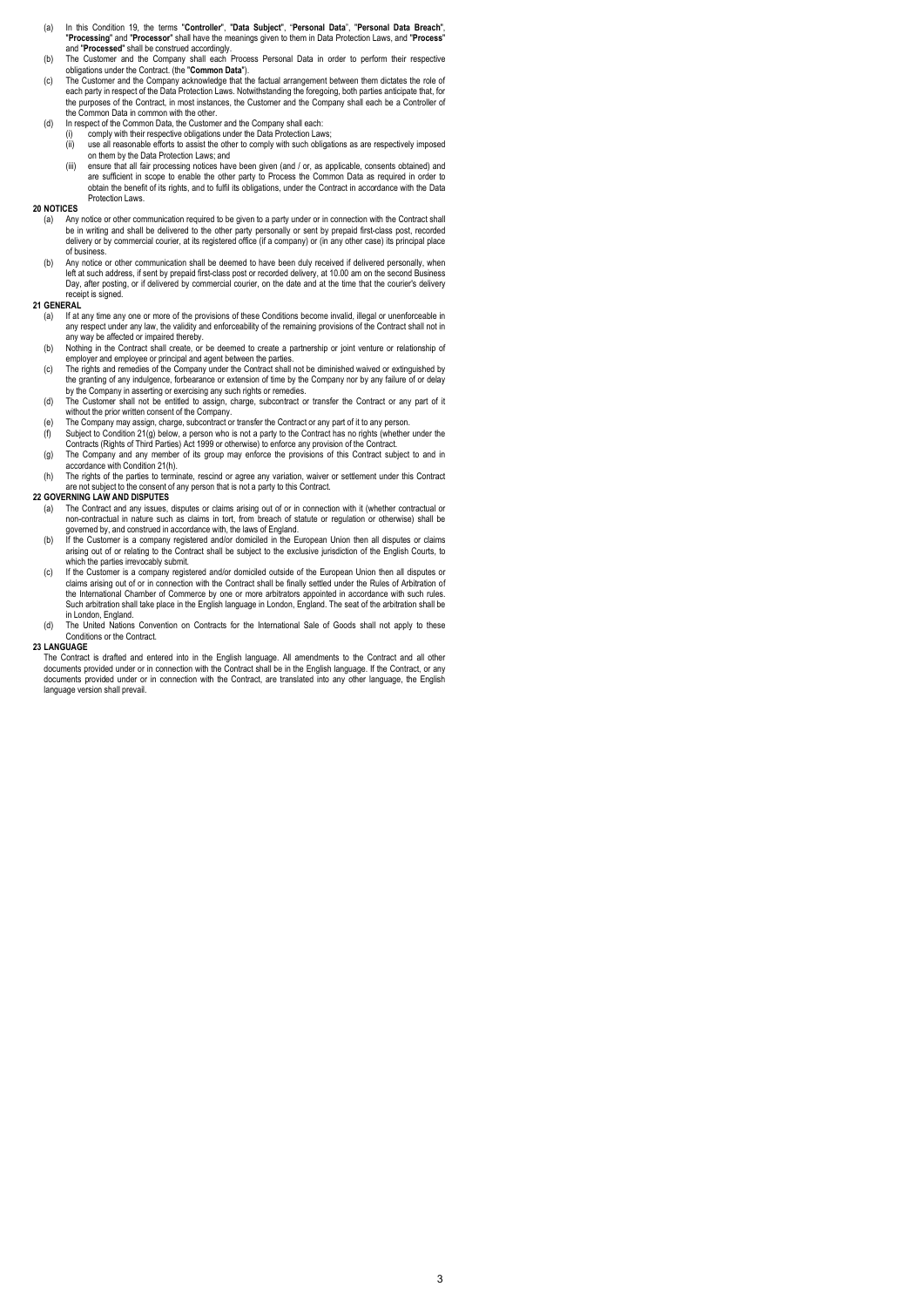- (a) In this Condition 19, the terms "Controller", "Data Subject", "Personal Data", "Personal Data Breach", "Processing" and "Processor" shall have the meanings given to them in Data Protection Laws, and "Process"
- and "Processed" shall be construed accordingly. (b) The Customer and the Company shall each Process Personal Data in order to perform their respective
- obligations under the Contract. (the "**Common Data**").<br>(c) The Customer and the Company acknowledge that the factual arrangement between them dictates the role of<br>each party in respect of the Data Protection Laws. Notwiths the purposes of the Contract, in most instances, the Customer and the Company shall each be a Controller of the Common Data in common with the other.
- (d) In respect of the Common Data, the Customer and the Company shall each:
	- (i) comply with their respective obligations under the Data Protection Laws; (ii) use all reasonable efforts to assist the other to comply with such obligations as are respectively imposed
	- on them by the Data Protection Laws; and (iii) ensure that all fair processing notices have been given (and / or, as applicable, consents obtained) and are sufficient in scope to enable the other party to Process the Common Data as required in order to obtain the benefit of its rights, and to fulfil its obligations, under the Contract in accordance with the Data

## 20 NOTICES

Protection Laws.

- (a) Any notice or other communication required to be given to a party under or in connection with the Contract shall be in writing and shall be delivered to the other party personally or sent by prepaid first-class post, recorded<br>delivery or by commercial courier, at its registered office (if a company) or (in any other case) its princip of business.
- (b) Any notice or other communication shall be deemed to have been duly received if delivered personally, when left at such address, if sent by prepaid first-class post or recorded delivery, at 10.00 am on the second Business<br>Day, after posting, or if delivered by commercial courier, on the date and at the time that the courier's d receipt is signed.

#### 21 GENERAL

- (a) If at any time any one or more of the provisions of these Conditions become invalid, illegal or unenforceable in any respect under any law, the validity and enforceability of the remaining provisions of the Contract shall not in any way be affected or impaired thereby.
- (b) Nothing in the Contract shall create, or be deemed to create a partnership or joint venture or relationship of employer and employee or principal and agent between the parties.
- (c) The rights and remedies of the Company under the Contract shall not be diminished waived or extinguished by the granting of any indulgence, forbearance or extension of time by the Company nor by any failure of or delay
- by the Company in asserting or exercising any such rights or remedies. (d) The Customer shall not be entitled to assign, charge, subcontract or transfer the Contract or any part of it
- without the prior written consent of the Company.<br>(e) The Company may assign, charge, subcontract or transfer the Contract or any part of it to any person.<br>(f) Subject to Condition 21(g) below, a person who is not a pa
- Contracts (Rights of Third Parties) Act 1999 or otherwise) to enforce any provision of the Contract.
- (g) The Company and any member of its group may enforce the provisions of this Contract subject to and in accordance with Condition 21(h).
- (h) The rights of the parties to terminate, rescind or agree any variation, waiver or settlement under this Contract<br>are not subject to the consent of any person that is not a party to this Contract are not subject to the consent of any person that is not a party to this Contract.

### 22 GOVERNING LAW AND DISPUTES

- (a) The Contract and any issues, disputes or claims arising out of or in connection with it (whether contractual or<br>non-contractual in nature such as claims in tort, from breach of statute or regulation or otherwise) shall
- governed by, and construed in accordance with, the laws of England.<br>(b) If the Customer is a company registered and/or domiciled in the European Union then all disputes or claims arising out of or relating to the Contract shall be subject to the exclusive jurisdiction of the English Courts, to which the parties irrevocably submit.
- (c) If the Customer is a company registered and/or domiciled outside of the European Union then all disputes or claims arising out of or in connection with the Contract shall be finally settled under the Rules of Arbitration of the International Chamber of Commerce by one or more arbitrators appointed in accordance with such rules. Such arbitration shall take place in the English language in London, England. The seat of the arbitration shall be in London, England.
- (d) The United Nations Convention on Contracts for the International Sale of Goods shall not apply to these Conditions or the Contract.

#### 23 LANGUAGE

The Contract is drafted and entered into in the English language. All amendments to the Contract and all other<br>documents provided under or in connection with the Contract shall be in the English language. If the Contract, documents provided under or in connection with the Contract, are translated into any other language, the English language version shall prevail.